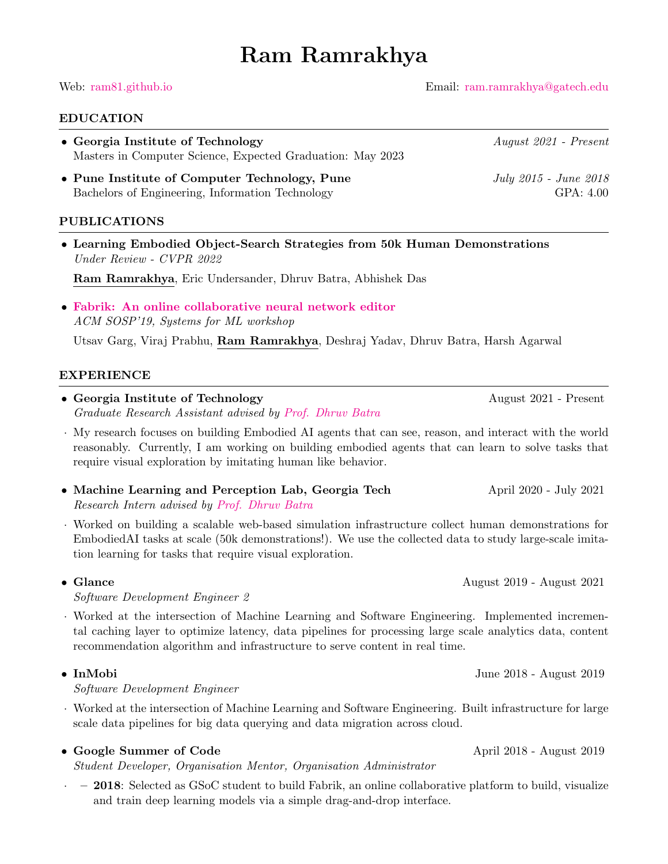# Ram Ramrakhya

Web: [ram81.github.io](https://ram81.github.io) Email: [ram.ramrakhya@gatech.edu](mailto:ram.ramrakhya@gatech.edu)

### EDUCATION

• Georgia Institute of Technology August 2021 - Present Masters in Computer Science, Expected Graduation: May 2023

• Pune Institute of Computer Technology, Pune July 2015 - June 2018 Bachelors of Engineering, Information Technology GPA: 4.00

### PUBLICATIONS

• Learning Embodied Object-Search Strategies from 50k Human Demonstrations Under Review - CVPR 2022

Ram Ramrakhya, Eric Undersander, Dhruv Batra, Abhishek Das

• [Fabrik: An online collaborative neural network editor](https://arxiv.org/pdf/1810.11649.pdf) ACM SOSP'19, Systems for ML workshop

Utsav Garg, Viraj Prabhu, Ram Ramrakhya, Deshraj Yadav, Dhruv Batra, Harsh Agarwal

### EXPERIENCE

- Georgia Institute of Technology August 2021 Present Graduate Research Assistant advised by [Prof. Dhruv Batra](https://www.cc.gatech.edu/~dbatra/)
- · My research focuses on building Embodied AI agents that can see, reason, and interact with the world reasonably. Currently, I am working on building embodied agents that can learn to solve tasks that require visual exploration by imitating human like behavior.
- Machine Learning and Perception Lab, Georgia Tech April 2020 July 2021 Research Intern advised by [Prof. Dhruv Batra](https://www.cc.gatech.edu/~dbatra/)
- · Worked on building a scalable web-based simulation infrastructure collect human demonstrations for EmbodiedAI tasks at scale (50k demonstrations!). We use the collected data to study large-scale imitation learning for tasks that require visual exploration.

• Glance August 2019 - August 2021

Software Development Engineer 2

· Worked at the intersection of Machine Learning and Software Engineering. Implemented incremental caching layer to optimize latency, data pipelines for processing large scale analytics data, content recommendation algorithm and infrastructure to serve content in real time.

Software Development Engineer

· Worked at the intersection of Machine Learning and Software Engineering. Built infrastructure for large scale data pipelines for big data querying and data migration across cloud.

### • Google Summer of Code April 2018 - August 2019

Student Developer, Organisation Mentor, Organisation Administrator

· – 2018: Selected as GSoC student to build Fabrik, an online collaborative platform to build, visualize and train deep learning models via a simple drag-and-drop interface.

• InMobi June 2018 - August 2019